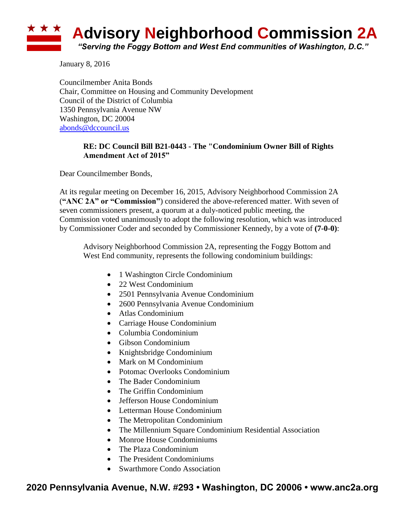

January 8, 2016

Councilmember Anita Bonds Chair, Committee on Housing and Community Development Council of the District of Columbia 1350 Pennsylvania Avenue NW Washington, DC 20004 [abonds@dccouncil.us](mailto:abonds@dccouncil.us)

## **RE: DC Council Bill B21-0443 - The "Condominium Owner Bill of Rights Amendment Act of 2015"**

Dear Councilmember Bonds,

At its regular meeting on December 16, 2015, Advisory Neighborhood Commission 2A (**"ANC 2A" or "Commission"**) considered the above-referenced matter. With seven of seven commissioners present, a quorum at a duly-noticed public meeting, the Commission voted unanimously to adopt the following resolution, which was introduced by Commissioner Coder and seconded by Commissioner Kennedy, by a vote of **(7-0-0)**:

Advisory Neighborhood Commission 2A, representing the Foggy Bottom and West End community, represents the following condominium buildings:

- 1 Washington Circle Condominium
- 22 West Condominium
- 2501 Pennsylvania Avenue Condominium
- 2600 Pennsylvania Avenue Condominium
- Atlas Condominium
- Carriage House Condominium
- Columbia Condominium
- Gibson Condominium
- Knightsbridge Condominium
- Mark on M Condominium
- Potomac Overlooks Condominium
- The Bader Condominium
- The Griffin Condominium
- Jefferson House Condominium
- Letterman House Condominium
- The Metropolitan Condominium
- The Millennium Square Condominium Residential Association
- Monroe House Condominiums
- The Plaza Condominium
- The President Condominiums
- Swarthmore Condo Association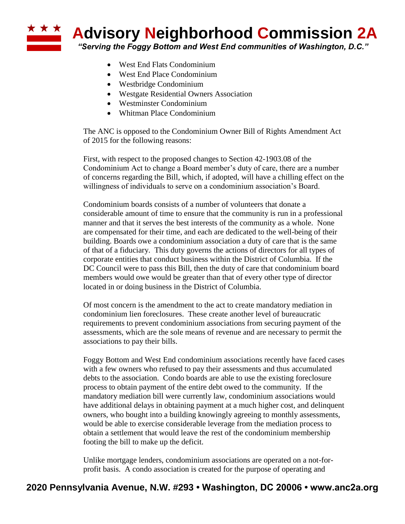**Advisory Neighborhood Commission 2A** 

*"Serving the Foggy Bottom and West End communities of Washington, D.C."*

- West End Flats Condominium
- West End Place Condominium
- Westbridge Condominium
- Westgate Residential Owners Association
- Westminster Condominium
- Whitman Place Condominium

The ANC is opposed to the Condominium Owner Bill of Rights Amendment Act of 2015 for the following reasons:

First, with respect to the proposed changes to Section 42-1903.08 of the Condominium Act to change a Board member's duty of care, there are a number of concerns regarding the Bill, which, if adopted, will have a chilling effect on the willingness of individuals to serve on a condominium association's Board.

Condominium boards consists of a number of volunteers that donate a considerable amount of time to ensure that the community is run in a professional manner and that it serves the best interests of the community as a whole. None are compensated for their time, and each are dedicated to the well-being of their building. Boards owe a condominium association a duty of care that is the same of that of a fiduciary. This duty governs the actions of directors for all types of corporate entities that conduct business within the District of Columbia. If the DC Council were to pass this Bill, then the duty of care that condominium board members would owe would be greater than that of every other type of director located in or doing business in the District of Columbia.

Of most concern is the amendment to the act to create mandatory mediation in condominium lien foreclosures. These create another level of bureaucratic requirements to prevent condominium associations from securing payment of the assessments, which are the sole means of revenue and are necessary to permit the associations to pay their bills.

Foggy Bottom and West End condominium associations recently have faced cases with a few owners who refused to pay their assessments and thus accumulated debts to the association. Condo boards are able to use the existing foreclosure process to obtain payment of the entire debt owed to the community. If the mandatory mediation bill were currently law, condominium associations would have additional delays in obtaining payment at a much higher cost, and delinquent owners, who bought into a building knowingly agreeing to monthly assessments, would be able to exercise considerable leverage from the mediation process to obtain a settlement that would leave the rest of the condominium membership footing the bill to make up the deficit.

Unlike mortgage lenders, condominium associations are operated on a not-forprofit basis. A condo association is created for the purpose of operating and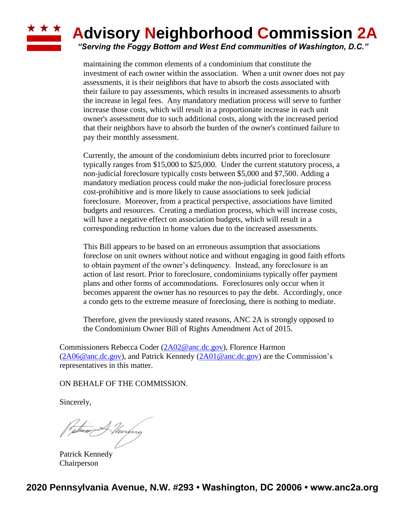## **Advisory Neighborhood Commission 2A** *"Serving the Foggy Bottom and West End communities of Washington, D.C."*

maintaining the common elements of a condominium that constitute the investment of each owner within the association. When a unit owner does not pay assessments, it is their neighbors that have to absorb the costs associated with their failure to pay assessments, which results in increased assessments to absorb the increase in legal fees. Any mandatory mediation process will serve to further increase those costs, which will result in a proportionate increase in each unit owner's assessment due to such additional costs, along with the increased period that their neighbors have to absorb the burden of the owner's continued failure to pay their monthly assessment.

Currently, the amount of the condominium debts incurred prior to foreclosure typically ranges from \$15,000 to \$25,000. Under the current statutory process, a non-judicial foreclosure typically costs between \$5,000 and \$7,500. Adding a mandatory mediation process could make the non-judicial foreclosure process cost-prohibitive and is more likely to cause associations to seek judicial foreclosure. Moreover, from a practical perspective, associations have limited budgets and resources. Creating a mediation process, which will increase costs, will have a negative effect on association budgets, which will result in a corresponding reduction in home values due to the increased assessments.

This Bill appears to be based on an erroneous assumption that associations foreclose on unit owners without notice and without engaging in good faith efforts to obtain payment of the owner's delinquency. Instead, any foreclosure is an action of last resort. Prior to foreclosure, condominiums typically offer payment plans and other forms of accommodations. Foreclosures only occur when it becomes apparent the owner has no resources to pay the debt. Accordingly, once a condo gets to the extreme measure of foreclosing, there is nothing to mediate.

Therefore, given the previously stated reasons, ANC 2A is strongly opposed to the Condominium Owner Bill of Rights Amendment Act of 2015.

Commissioners Rebecca Coder [\(2A02@anc.dc.gov\)](mailto:2A02@anc.dc.gov), Florence Harmon  $(2A06@anc.dc.gov)$ , and Patrick Kennedy  $(2A01@anc.dc.gov)$  are the Commission's representatives in this matter.

ON BEHALF OF THE COMMISSION.

Sincerely,

**\* \* \*** 

when Alinhy

Patrick Kennedy Chairperson

**2020 Pennsylvania Avenue, N.W. #293 • Washington, DC 20006 • www.anc2a.org**